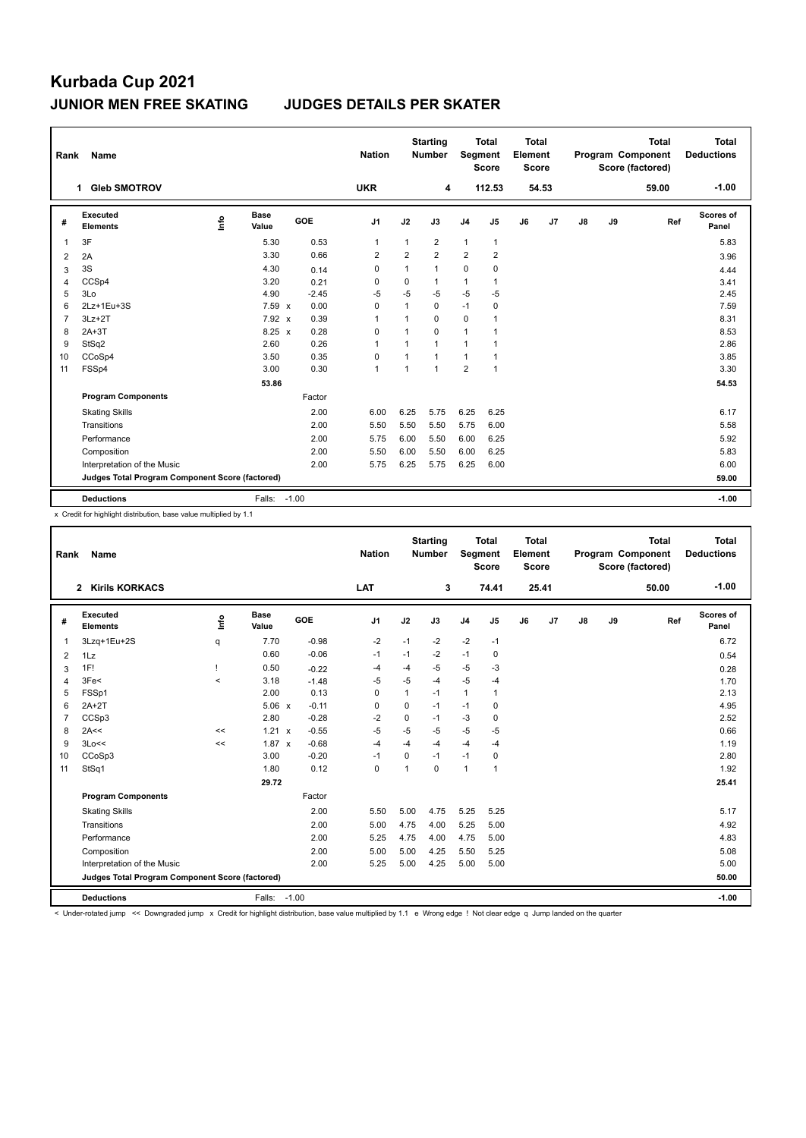## **Kurbada Cup 2021 JUNIOR MEN FREE SKATING JUDGES DETAILS PER SKATER**

| Rank           | Name                                            |                                  |                      |         |            | <b>Nation</b>  |                | <b>Starting</b><br><b>Number</b> | Segment        | <b>Total</b><br><b>Score</b> | <b>Total</b><br>Element<br><b>Score</b> |                |    |    | <b>Total</b><br>Program Component<br>Score (factored) | Total<br><b>Deductions</b> |
|----------------|-------------------------------------------------|----------------------------------|----------------------|---------|------------|----------------|----------------|----------------------------------|----------------|------------------------------|-----------------------------------------|----------------|----|----|-------------------------------------------------------|----------------------------|
|                | <b>Gleb SMOTROV</b><br>$\mathbf 1$              |                                  |                      |         |            | <b>UKR</b>     |                | 4                                |                | 112.53                       |                                         | 54.53          |    |    | 59.00                                                 | $-1.00$                    |
| #              | Executed<br><b>Elements</b>                     | $\mathop{\mathsf{Irr}}\nolimits$ | <b>Base</b><br>Value |         | <b>GOE</b> | J1             | J2             | J3                               | J <sub>4</sub> | J <sub>5</sub>               | J6                                      | J <sub>7</sub> | J8 | J9 | Ref                                                   | Scores of<br>Panel         |
| 1              | 3F                                              |                                  | 5.30                 |         | 0.53       | $\mathbf{1}$   | $\mathbf{1}$   | $\overline{2}$                   | $\mathbf{1}$   | $\mathbf{1}$                 |                                         |                |    |    |                                                       | 5.83                       |
| 2              | 2A                                              |                                  | 3.30                 |         | 0.66       | $\overline{2}$ | $\overline{2}$ | $\overline{2}$                   | $\overline{2}$ | $\overline{2}$               |                                         |                |    |    |                                                       | 3.96                       |
| 3              | 3S                                              |                                  | 4.30                 |         | 0.14       | 0              | 1              | $\mathbf{1}$                     | 0              | 0                            |                                         |                |    |    |                                                       | 4.44                       |
| 4              | CCSp4                                           |                                  | 3.20                 |         | 0.21       | 0              | 0              | 1                                | $\mathbf{1}$   | 1                            |                                         |                |    |    |                                                       | 3.41                       |
| 5              | 3Lo                                             |                                  | 4.90                 |         | $-2.45$    | $-5$           | $-5$           | $-5$                             | $-5$           | $-5$                         |                                         |                |    |    |                                                       | 2.45                       |
| 6              | 2Lz+1Eu+3S                                      |                                  | 7.59 x               |         | 0.00       | 0              | $\mathbf{1}$   | 0                                | $-1$           | 0                            |                                         |                |    |    |                                                       | 7.59                       |
| $\overline{7}$ | $3Lz + 2T$                                      |                                  | $7.92 \times$        |         | 0.39       | $\mathbf{1}$   | 1              | 0                                | 0              | 1                            |                                         |                |    |    |                                                       | 8.31                       |
| 8              | $2A+3T$                                         |                                  | $8.25 \times$        |         | 0.28       | 0              | 1              | $\Omega$                         | $\mathbf{1}$   | 1                            |                                         |                |    |    |                                                       | 8.53                       |
| 9              | StSq2                                           |                                  | 2.60                 |         | 0.26       | 1              |                | $\mathbf{1}$                     | 1              | 1                            |                                         |                |    |    |                                                       | 2.86                       |
| 10             | CCoSp4                                          |                                  | 3.50                 |         | 0.35       | 0              | 1              | $\mathbf{1}$                     | $\mathbf{1}$   | 1                            |                                         |                |    |    |                                                       | 3.85                       |
| 11             | FSSp4                                           |                                  | 3.00                 |         | 0.30       | $\overline{1}$ | 1              | $\mathbf{1}$                     | $\overline{2}$ | $\mathbf{1}$                 |                                         |                |    |    |                                                       | 3.30                       |
|                |                                                 |                                  | 53.86                |         |            |                |                |                                  |                |                              |                                         |                |    |    |                                                       | 54.53                      |
|                | <b>Program Components</b>                       |                                  |                      |         | Factor     |                |                |                                  |                |                              |                                         |                |    |    |                                                       |                            |
|                | <b>Skating Skills</b>                           |                                  |                      |         | 2.00       | 6.00           | 6.25           | 5.75                             | 6.25           | 6.25                         |                                         |                |    |    |                                                       | 6.17                       |
|                | Transitions                                     |                                  |                      |         | 2.00       | 5.50           | 5.50           | 5.50                             | 5.75           | 6.00                         |                                         |                |    |    |                                                       | 5.58                       |
|                | Performance                                     |                                  |                      |         | 2.00       | 5.75           | 6.00           | 5.50                             | 6.00           | 6.25                         |                                         |                |    |    |                                                       | 5.92                       |
|                | Composition                                     |                                  |                      |         | 2.00       | 5.50           | 6.00           | 5.50                             | 6.00           | 6.25                         |                                         |                |    |    |                                                       | 5.83                       |
|                | Interpretation of the Music                     |                                  |                      |         | 2.00       | 5.75           | 6.25           | 5.75                             | 6.25           | 6.00                         |                                         |                |    |    |                                                       | 6.00                       |
|                | Judges Total Program Component Score (factored) |                                  |                      |         |            |                |                |                                  |                |                              |                                         |                |    |    |                                                       | 59.00                      |
|                | <b>Deductions</b>                               |                                  | Falls:               | $-1.00$ |            |                |                |                                  |                |                              |                                         |                |    |    |                                                       | $-1.00$                    |

x Credit for highlight distribution, base value multiplied by 1.1

| Rank                                            | Name                                  |          |                      |         | <b>Nation</b>  |      | <b>Starting</b><br><b>Number</b> | Segment        | <b>Total</b><br><b>Score</b> | <b>Total</b><br>Element<br><b>Score</b> |       |       |    | <b>Total</b><br>Program Component<br>Score (factored) | <b>Total</b><br><b>Deductions</b> |
|-------------------------------------------------|---------------------------------------|----------|----------------------|---------|----------------|------|----------------------------------|----------------|------------------------------|-----------------------------------------|-------|-------|----|-------------------------------------------------------|-----------------------------------|
|                                                 | <b>Kirils KORKACS</b><br>$\mathbf{2}$ |          |                      |         | LAT            |      | 3                                |                | 74.41                        |                                         | 25.41 |       |    | 50.00                                                 | $-1.00$                           |
| #                                               | <b>Executed</b><br><b>Elements</b>    | <u>l</u> | <b>Base</b><br>Value | GOE     | J <sub>1</sub> | J2   | J3                               | J <sub>4</sub> | J5                           | J6                                      | J7    | J8    | J9 | Ref                                                   | <b>Scores of</b><br>Panel         |
| $\mathbf{1}$                                    | 3Lzq+1Eu+2S                           | q        | 7.70                 | $-0.98$ | $-2$           | $-1$ | $-2$                             | $-2$           | $-1$                         |                                         |       |       |    |                                                       | 6.72                              |
| 2                                               | 1Lz                                   |          | 0.60                 | $-0.06$ | $-1$           | $-1$ | $-2$                             | $-1$           | 0                            |                                         |       |       |    |                                                       | 0.54                              |
| 3                                               | 1F!                                   | т        | 0.50                 | $-0.22$ | $-4$           | $-4$ | $-5$                             | -5             | $-3$                         |                                         |       |       |    |                                                       | 0.28                              |
| 4                                               | 3Fe<                                  | $\prec$  | 3.18                 | $-1.48$ | $-5$           | $-5$ | $-4$                             | $-5$           | $-4$                         |                                         |       |       |    |                                                       | 1.70                              |
| 5                                               | FSSp1                                 |          | 2.00                 | 0.13    | $\Omega$       | 1    | $-1$                             | $\mathbf{1}$   | 1                            |                                         |       |       |    |                                                       | 2.13                              |
| 6                                               | $2A+2T$                               |          | $5.06 \times$        | $-0.11$ | 0              | 0    | $-1$                             | $-1$           | 0                            |                                         |       |       |    |                                                       | 4.95                              |
| $\overline{7}$                                  | CCSp3                                 |          | 2.80                 | $-0.28$ | $-2$           | 0    | $-1$                             | $-3$           | 0                            |                                         |       |       |    |                                                       | 2.52                              |
| 8                                               | 2A<<                                  | <<       | 1.21 x               | $-0.55$ | $-5$           | $-5$ | $-5$                             | $-5$           | $-5$                         |                                         |       |       |    |                                                       | 0.66                              |
| 9                                               | 3Lo<<                                 | <<       | $1.87 \times$        | $-0.68$ | $-4$           | $-4$ | $-4$                             | $-4$           | $-4$                         |                                         |       |       |    |                                                       | 1.19                              |
| 10                                              | CCoSp3                                |          | 3.00                 | $-0.20$ | $-1$           | 0    | $-1$                             | $-1$           | 0                            |                                         |       |       |    |                                                       | 2.80                              |
| 11                                              | StSq1                                 |          | 1.80                 | 0.12    | $\mathbf 0$    | 1    | 0                                | $\mathbf{1}$   | 1                            |                                         |       |       |    |                                                       | 1.92                              |
|                                                 |                                       |          | 29.72                |         |                |      |                                  |                |                              |                                         |       |       |    |                                                       | 25.41                             |
|                                                 | <b>Program Components</b>             |          |                      | Factor  |                |      |                                  |                |                              |                                         |       |       |    |                                                       |                                   |
|                                                 | <b>Skating Skills</b>                 |          |                      | 2.00    | 5.50           | 5.00 | 4.75                             | 5.25           | 5.25                         |                                         |       |       |    |                                                       | 5.17                              |
|                                                 | Transitions                           |          |                      | 2.00    | 5.00           | 4.75 | 4.00                             | 5.25           | 5.00                         |                                         |       |       |    |                                                       | 4.92                              |
|                                                 | Performance                           |          |                      | 2.00    | 5.25           | 4.75 | 4.00                             | 4.75           | 5.00                         |                                         |       |       |    |                                                       | 4.83                              |
|                                                 | Composition                           |          |                      | 2.00    | 5.00           | 5.00 | 4.25                             | 5.50           | 5.25                         |                                         |       |       |    |                                                       | 5.08                              |
|                                                 | Interpretation of the Music           |          |                      | 2.00    | 5.25           | 5.00 | 4.25                             | 5.00           | 5.00                         |                                         |       |       |    |                                                       | 5.00                              |
| Judges Total Program Component Score (factored) |                                       |          |                      |         |                |      |                                  |                |                              |                                         |       | 50.00 |    |                                                       |                                   |
|                                                 | <b>Deductions</b>                     |          | Falls:               | $-1.00$ |                |      |                                  |                |                              |                                         |       |       |    |                                                       | $-1.00$                           |

< Under-rotated jump << Downgraded jump x Credit for highlight distribution, base value multiplied by 1.1 e Wrong edge ! Not clear edge q Jump landed on the quarter